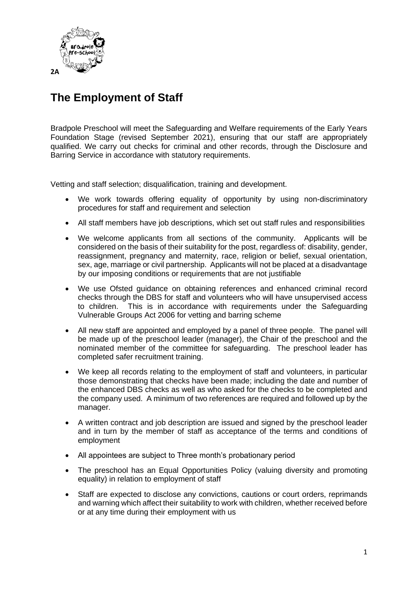

# **The Employment of Staff**

Bradpole Preschool will meet the Safeguarding and Welfare requirements of the Early Years Foundation Stage (revised September 2021), ensuring that our staff are appropriately qualified. We carry out checks for criminal and other records, through the Disclosure and Barring Service in accordance with statutory requirements.

Vetting and staff selection; disqualification, training and development.

- We work towards offering equality of opportunity by using non-discriminatory procedures for staff and requirement and selection
- All staff members have job descriptions, which set out staff rules and responsibilities
- We welcome applicants from all sections of the community. Applicants will be considered on the basis of their suitability for the post, regardless of: disability, gender, reassignment, pregnancy and maternity, race, religion or belief, sexual orientation, sex, age, marriage or civil partnership. Applicants will not be placed at a disadvantage by our imposing conditions or requirements that are not justifiable
- We use Ofsted guidance on obtaining references and enhanced criminal record checks through the DBS for staff and volunteers who will have unsupervised access to children. This is in accordance with requirements under the Safeguarding Vulnerable Groups Act 2006 for vetting and barring scheme
- All new staff are appointed and employed by a panel of three people. The panel will be made up of the preschool leader (manager), the Chair of the preschool and the nominated member of the committee for safeguarding. The preschool leader has completed safer recruitment training.
- We keep all records relating to the employment of staff and volunteers, in particular those demonstrating that checks have been made; including the date and number of the enhanced DBS checks as well as who asked for the checks to be completed and the company used. A minimum of two references are required and followed up by the manager.
- A written contract and job description are issued and signed by the preschool leader and in turn by the member of staff as acceptance of the terms and conditions of employment
- All appointees are subject to Three month's probationary period
- The preschool has an Equal Opportunities Policy (valuing diversity and promoting equality) in relation to employment of staff
- Staff are expected to disclose any convictions, cautions or court orders, reprimands and warning which affect their suitability to work with children, whether received before or at any time during their employment with us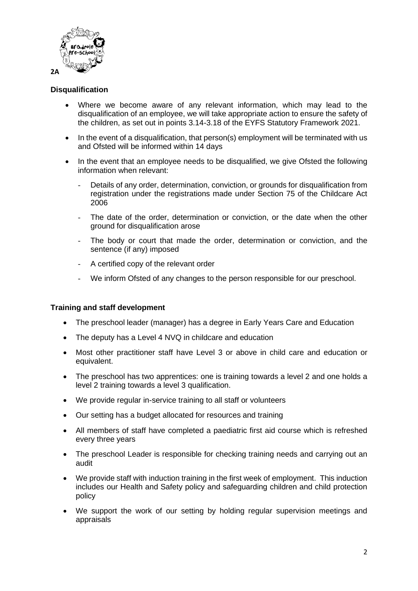

## **Disqualification**

- Where we become aware of any relevant information, which may lead to the disqualification of an employee, we will take appropriate action to ensure the safety of the children, as set out in points 3.14-3.18 of the EYFS Statutory Framework 2021.
- In the event of a disqualification, that person(s) employment will be terminated with us and Ofsted will be informed within 14 days
- In the event that an employee needs to be disqualified, we give Ofsted the following information when relevant:
	- Details of any order, determination, conviction, or grounds for disqualification from registration under the registrations made under Section 75 of the Childcare Act 2006
	- The date of the order, determination or conviction, or the date when the other ground for disqualification arose
	- The body or court that made the order, determination or conviction, and the sentence (if any) imposed
	- A certified copy of the relevant order
	- We inform Ofsted of any changes to the person responsible for our preschool.

### **Training and staff development**

- The preschool leader (manager) has a degree in Early Years Care and Education
- The deputy has a Level 4 NVQ in childcare and education
- Most other practitioner staff have Level 3 or above in child care and education or equivalent.
- The preschool has two apprentices: one is training towards a level 2 and one holds a level 2 training towards a level 3 qualification.
- We provide regular in-service training to all staff or volunteers
- Our setting has a budget allocated for resources and training
- All members of staff have completed a paediatric first aid course which is refreshed every three years
- The preschool Leader is responsible for checking training needs and carrying out an audit
- We provide staff with induction training in the first week of employment. This induction includes our Health and Safety policy and safeguarding children and child protection policy
- We support the work of our setting by holding regular supervision meetings and appraisals